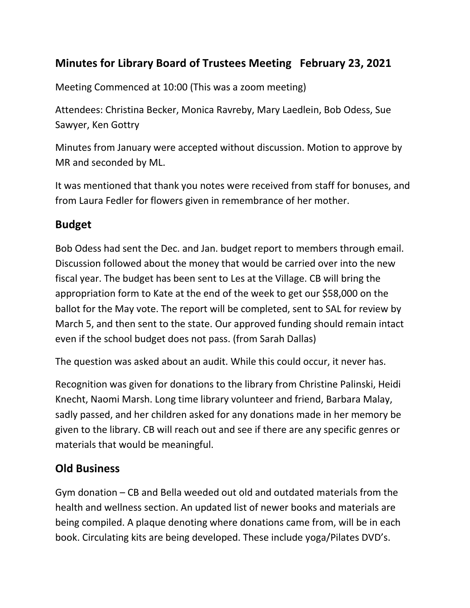## **Minutes for Library Board of Trustees Meeting February 23, 2021**

Meeting Commenced at 10:00 (This was a zoom meeting)

Attendees: Christina Becker, Monica Ravreby, Mary Laedlein, Bob Odess, Sue Sawyer, Ken Gottry

Minutes from January were accepted without discussion. Motion to approve by MR and seconded by ML.

It was mentioned that thank you notes were received from staff for bonuses, and from Laura Fedler for flowers given in remembrance of her mother.

#### **Budget**

Bob Odess had sent the Dec. and Jan. budget report to members through email. Discussion followed about the money that would be carried over into the new fiscal year. The budget has been sent to Les at the Village. CB will bring the appropriation form to Kate at the end of the week to get our \$58,000 on the ballot for the May vote. The report will be completed, sent to SAL for review by March 5, and then sent to the state. Our approved funding should remain intact even if the school budget does not pass. (from Sarah Dallas)

The question was asked about an audit. While this could occur, it never has.

Recognition was given for donations to the library from Christine Palinski, Heidi Knecht, Naomi Marsh. Long time library volunteer and friend, Barbara Malay, sadly passed, and her children asked for any donations made in her memory be given to the library. CB will reach out and see if there are any specific genres or materials that would be meaningful.

### **Old Business**

Gym donation – CB and Bella weeded out old and outdated materials from the health and wellness section. An updated list of newer books and materials are being compiled. A plaque denoting where donations came from, will be in each book. Circulating kits are being developed. These include yoga/Pilates DVD's.